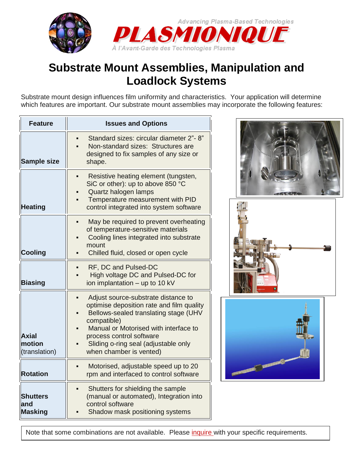

## **Substrate Mount Assemblies, Manipulation and Loadlock Systems**

Substrate mount design influences film uniformity and characteristics. Your application will determine which features are important. Our substrate mount assemblies may incorporate the following features:

| <b>Feature</b>                           | <b>Issues and Options</b>                                                                                                                                                                                                                                                        |
|------------------------------------------|----------------------------------------------------------------------------------------------------------------------------------------------------------------------------------------------------------------------------------------------------------------------------------|
| <b>Sample size</b>                       | Standard sizes: circular diameter 2"-8"<br>Non-standard sizes: Structures are<br>designed to fix samples of any size or<br>shape.                                                                                                                                                |
| <b>Heating</b>                           | Resistive heating element (tungsten,<br>SiC or other): up to above 850 °C<br>Quartz halogen lamps<br>Temperature measurement with PID<br>control integrated into system software                                                                                                 |
| <b>Cooling</b>                           | May be required to prevent overheating<br>of temperature-sensitive materials<br>Cooling lines integrated into substrate<br>mount<br>Chilled fluid, closed or open cycle                                                                                                          |
| <b>Biasing</b>                           | RF, DC and Pulsed-DC<br>High voltage DC and Pulsed-DC for<br>ion implantation - up to 10 kV                                                                                                                                                                                      |
| <b>Axial</b><br>motion<br>(translation)  | Adjust source-substrate distance to<br>optimise deposition rate and film quality<br>Bellows-sealed translating stage (UHV<br>compatible)<br>Manual or Motorised with interface to<br>process control software<br>Sliding o-ring seal (adjustable only<br>when chamber is vented) |
| <b>Rotation</b>                          | Motorised, adjustable speed up to 20<br>rpm and interfaced to control software                                                                                                                                                                                                   |
| <b>Shutters</b><br>and<br><b>Masking</b> | Shutters for shielding the sample<br>(manual or automated), Integration into<br>control software<br>Shadow mask positioning systems                                                                                                                                              |







Note that some combinations are not available. Please [inquire](http://plasmionique.com/www/?page_id=14) with your specific requirements.